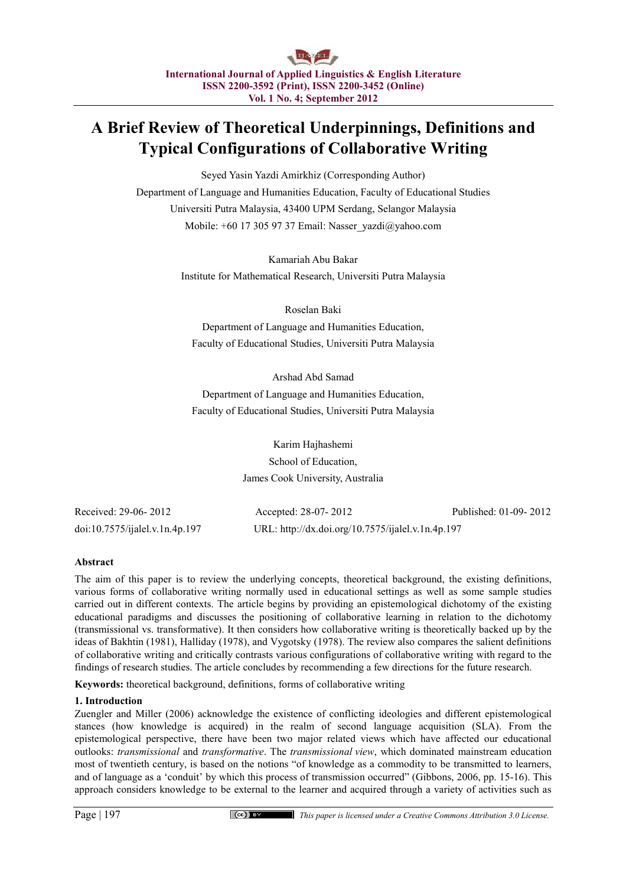# **A Brief Review of Theoretical Underpinnings, Definitions and Typical Configurations of Collaborative Writing**

Seyed Yasin Yazdi Amirkhiz (Corresponding Author) Department of Language and Humanities Education, Faculty of Educational Studies Universiti Putra Malaysia, 43400 UPM Serdang, Selangor Malaysia Mobile: +60 17 305 97 37 Email: Nasser\_yazdi@yahoo.com

> Kamariah Abu Bakar Institute for Mathematical Research, Universiti Putra Malaysia

> > Roselan Baki

Department of Language and Humanities Education, Faculty of Educational Studies, Universiti Putra Malaysia

Arshad Abd Samad Department of Language and Humanities Education, Faculty of Educational Studies, Universiti Putra Malaysia

> Karim Hajhashemi School of Education, James Cook University, Australia

Received: 29-06- 2012 Accepted: 28-07- 2012 Published: 01-09- 2012 doi:10.7575/ijalel.v.1n.4p.197 URL: http://dx.doi.org/10.7575/ijalel.v.1n.4p.197

# **Abstract**

The aim of this paper is to review the underlying concepts, theoretical background, the existing definitions, various forms of collaborative writing normally used in educational settings as well as some sample studies carried out in different contexts. The article begins by providing an epistemological dichotomy of the existing educational paradigms and discusses the positioning of collaborative learning in relation to the dichotomy (transmissional vs. transformative). It then considers how collaborative writing is theoretically backed up by the ideas of Bakhtin (1981), Halliday (1978), and Vygotsky (1978). The review also compares the salient definitions of collaborative writing and critically contrasts various configurations of collaborative writing with regard to the findings of research studies. The article concludes by recommending a few directions for the future research.

**Keywords:** theoretical background, definitions, forms of collaborative writing

## **1. Introduction**

Zuengler and Miller (2006) acknowledge the existence of conflicting ideologies and different epistemological stances (how knowledge is acquired) in the realm of second language acquisition (SLA). From the epistemological perspective, there have been two major related views which have affected our educational outlooks: *transmissional* and *transformative*. The *transmissional view*, which dominated mainstream education most of twentieth century, is based on the notions "of knowledge as a commodity to be transmitted to learners, and of language as a 'conduit' by which this process of transmission occurred" (Gibbons, 2006, pp. 15-16). This approach considers knowledge to be external to the learner and acquired through a variety of activities such as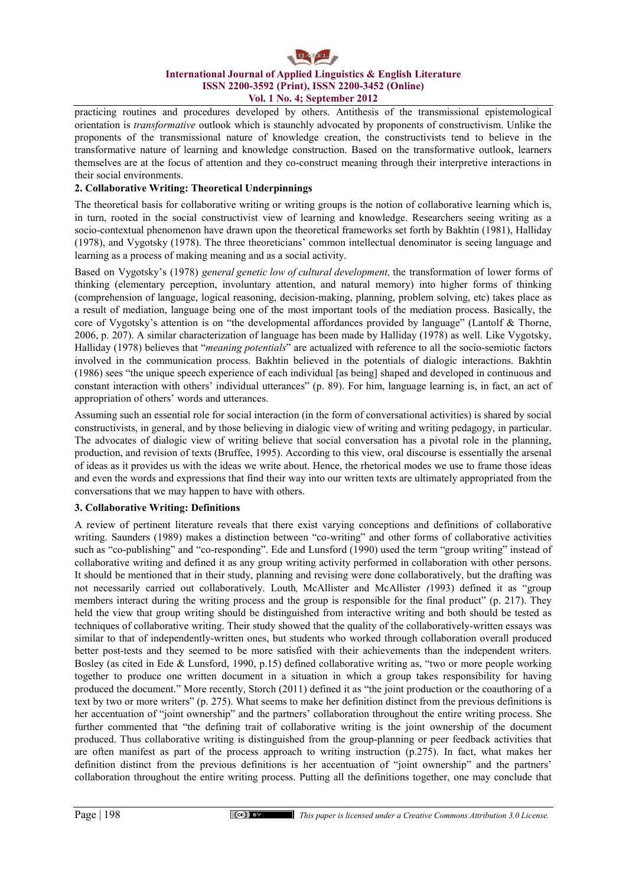# **International Journal of Applied Linguistics & English Literature ISSN 2200-3592 (Print), ISSN 2200-3452 (Online) Vol. 1 No. 4; September 2012**

practicing routines and procedures developed by others. Antithesis of the transmissional epistemological orientation is *transformative* outlook which is staunchly advocated by proponents of constructivism. Unlike the proponents of the transmissional nature of knowledge creation, the constructivists tend to believe in the transformative nature of learning and knowledge construction. Based on the transformative outlook, learners themselves are at the focus of attention and they co-construct meaning through their interpretive interactions in their social environments.

# **2. Collaborative Writing: Theoretical Underpinnings**

The theoretical basis for collaborative writing or writing groups is the notion of collaborative learning which is, in turn, rooted in the social constructivist view of learning and knowledge. Researchers seeing writing as a socio-contextual phenomenon have drawn upon the theoretical frameworks set forth by Bakhtin (1981), Halliday (1978), and Vygotsky (1978). The three theoreticians' common intellectual denominator is seeing language and learning as a process of making meaning and as a social activity.

Based on Vygotsky's (1978) *general genetic low of cultural development,* the transformation of lower forms of thinking (elementary perception, involuntary attention, and natural memory) into higher forms of thinking (comprehension of language, logical reasoning, decision-making, planning, problem solving, etc) takes place as a result of mediation, language being one of the most important tools of the mediation process. Basically, the core of Vygotsky's attention is on "the developmental affordances provided by language" (Lantolf & Thorne, 2006, p. 207). A similar characterization of language has been made by Halliday (1978) as well. Like Vygotsky, Halliday (1978) believes that "*meaning potentials*" are actualized with reference to all the socio-semiotic factors involved in the communication process. Bakhtin believed in the potentials of dialogic interactions. Bakhtin (1986) sees "the unique speech experience of each individual [as being] shaped and developed in continuous and constant interaction with others' individual utterances" (p. 89). For him, language learning is, in fact, an act of appropriation of others' words and utterances.

Assuming such an essential role for social interaction (in the form of conversational activities) is shared by social constructivists, in general, and by those believing in dialogic view of writing and writing pedagogy, in particular. The advocates of dialogic view of writing believe that social conversation has a pivotal role in the planning, production, and revision of texts (Bruffee, 1995). According to this view, oral discourse is essentially the arsenal of ideas as it provides us with the ideas we write about. Hence, the rhetorical modes we use to frame those ideas and even the words and expressions that find their way into our written texts are ultimately appropriated from the conversations that we may happen to have with others.

## **3. Collaborative Writing: Definitions**

A review of pertinent literature reveals that there exist varying conceptions and definitions of collaborative writing. Saunders (1989) makes a distinction between "co-writing" and other forms of collaborative activities such as "co-publishing" and "co-responding". Ede and Lunsford (1990) used the term "group writing" instead of collaborative writing and defined it as any group writing activity performed in collaboration with other persons. It should be mentioned that in their study, planning and revising were done collaboratively, but the drafting was not necessarily carried out collaboratively. Louth*,* McAllister and McAllister *(*1993) defined it as "group members interact during the writing process and the group is responsible for the final product" (p. 217). They held the view that group writing should be distinguished from interactive writing and both should be tested as techniques of collaborative writing. Their study showed that the quality of the collaboratively-written essays was similar to that of independently-written ones, but students who worked through collaboration overall produced better post-tests and they seemed to be more satisfied with their achievements than the independent writers. Bosley (as cited in Ede & Lunsford, 1990, p.15) defined collaborative writing as, "two or more people working together to produce one written document in a situation in which a group takes responsibility for having produced the document." More recently, Storch (2011) defined it as "the joint production or the coauthoring of a text by two or more writers" (p. 275). What seems to make her definition distinct from the previous definitions is her accentuation of "joint ownership" and the partners' collaboration throughout the entire writing process. She further commented that "the defining trait of collaborative writing is the joint ownership of the document produced. Thus collaborative writing is distinguished from the group-planning or peer feedback activities that are often manifest as part of the process approach to writing instruction (p.275). In fact, what makes her definition distinct from the previous definitions is her accentuation of "joint ownership" and the partners' collaboration throughout the entire writing process. Putting all the definitions together, one may conclude that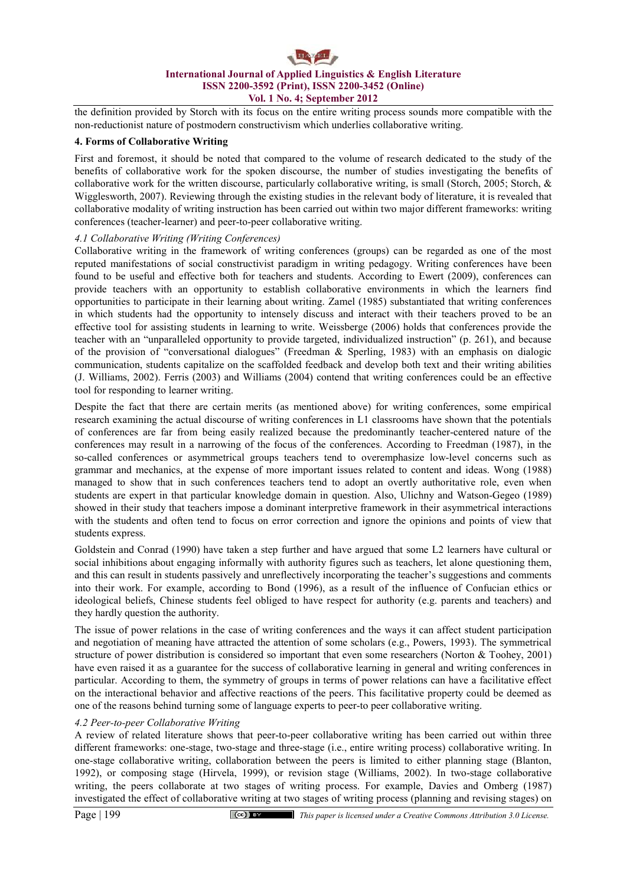

the definition provided by Storch with its focus on the entire writing process sounds more compatible with the non-reductionist nature of postmodern constructivism which underlies collaborative writing.

#### **4. Forms of Collaborative Writing**

First and foremost, it should be noted that compared to the volume of research dedicated to the study of the benefits of collaborative work for the spoken discourse, the number of studies investigating the benefits of collaborative work for the written discourse, particularly collaborative writing, is small (Storch, 2005; Storch, & Wigglesworth, 2007). Reviewing through the existing studies in the relevant body of literature, it is revealed that collaborative modality of writing instruction has been carried out within two major different frameworks: writing conferences (teacher-learner) and peer-to-peer collaborative writing.

#### *4.1 Collaborative Writing (Writing Conferences)*

Collaborative writing in the framework of writing conferences (groups) can be regarded as one of the most reputed manifestations of social constructivist paradigm in writing pedagogy. Writing conferences have been found to be useful and effective both for teachers and students. According to Ewert (2009), conferences can provide teachers with an opportunity to establish collaborative environments in which the learners find opportunities to participate in their learning about writing. Zamel (1985) substantiated that writing conferences in which students had the opportunity to intensely discuss and interact with their teachers proved to be an effective tool for assisting students in learning to write. Weissberge (2006) holds that conferences provide the teacher with an "unparalleled opportunity to provide targeted, individualized instruction" (p. 261), and because of the provision of "conversational dialogues" (Freedman & Sperling, 1983) with an emphasis on dialogic communication, students capitalize on the scaffolded feedback and develop both text and their writing abilities (J. Williams, 2002). Ferris (2003) and Williams (2004) contend that writing conferences could be an effective tool for responding to learner writing.

Despite the fact that there are certain merits (as mentioned above) for writing conferences, some empirical research examining the actual discourse of writing conferences in L1 classrooms have shown that the potentials of conferences are far from being easily realized because the predominantly teacher-centered nature of the conferences may result in a narrowing of the focus of the conferences. According to Freedman (1987), in the so-called conferences or asymmetrical groups teachers tend to overemphasize low-level concerns such as grammar and mechanics, at the expense of more important issues related to content and ideas. Wong (1988) managed to show that in such conferences teachers tend to adopt an overtly authoritative role, even when students are expert in that particular knowledge domain in question. Also, Ulichny and Watson-Gegeo (1989) showed in their study that teachers impose a dominant interpretive framework in their asymmetrical interactions with the students and often tend to focus on error correction and ignore the opinions and points of view that students express.

Goldstein and Conrad (1990) have taken a step further and have argued that some L2 learners have cultural or social inhibitions about engaging informally with authority figures such as teachers, let alone questioning them, and this can result in students passively and unreflectively incorporating the teacher's suggestions and comments into their work. For example, according to Bond (1996), as a result of the influence of Confucian ethics or ideological beliefs, Chinese students feel obliged to have respect for authority (e.g. parents and teachers) and they hardly question the authority.

The issue of power relations in the case of writing conferences and the ways it can affect student participation and negotiation of meaning have attracted the attention of some scholars (e.g., Powers, 1993). The symmetrical structure of power distribution is considered so important that even some researchers (Norton & Toohey, 2001) have even raised it as a guarantee for the success of collaborative learning in general and writing conferences in particular. According to them, the symmetry of groups in terms of power relations can have a facilitative effect on the interactional behavior and affective reactions of the peers. This facilitative property could be deemed as one of the reasons behind turning some of language experts to peer-to peer collaborative writing.

#### *4.2 Peer-to-peer Collaborative Writing*

A review of related literature shows that peer-to-peer collaborative writing has been carried out within three different frameworks: one-stage, two-stage and three-stage (i.e., entire writing process) collaborative writing. In one-stage collaborative writing, collaboration between the peers is limited to either planning stage (Blanton, 1992), or composing stage (Hirvela, 1999), or revision stage (Williams, 2002). In two-stage collaborative writing, the peers collaborate at two stages of writing process. For example, Davies and Omberg (1987) investigated the effect of collaborative writing at two stages of writing process (planning and revising stages) on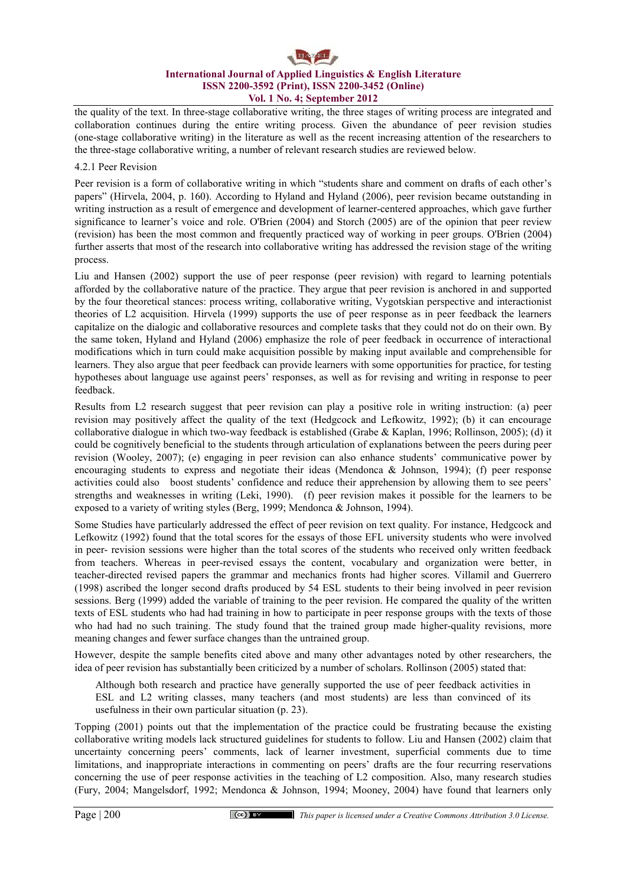# **International Journal of Applied Linguistics & English Literature ISSN 2200-3592 (Print), ISSN 2200-3452 (Online) Vol. 1 No. 4; September 2012**

the quality of the text. In three-stage collaborative writing, the three stages of writing process are integrated and collaboration continues during the entire writing process. Given the abundance of peer revision studies (one-stage collaborative writing) in the literature as well as the recent increasing attention of the researchers to the three-stage collaborative writing, a number of relevant research studies are reviewed below.

#### 4.2.1 Peer Revision

Peer revision is a form of collaborative writing in which "students share and comment on drafts of each other's papers" (Hirvela, 2004, p. 160). According to Hyland and Hyland (2006), peer revision became outstanding in writing instruction as a result of emergence and development of learner-centered approaches, which gave further significance to learner's voice and role. O'Brien (2004) and Storch (2005) are of the opinion that peer review (revision) has been the most common and frequently practiced way of working in peer groups. O'Brien (2004) further asserts that most of the research into collaborative writing has addressed the revision stage of the writing process.

Liu and Hansen (2002) support the use of peer response (peer revision) with regard to learning potentials afforded by the collaborative nature of the practice. They argue that peer revision is anchored in and supported by the four theoretical stances: process writing, collaborative writing, Vygotskian perspective and interactionist theories of L2 acquisition. Hirvela (1999) supports the use of peer response as in peer feedback the learners capitalize on the dialogic and collaborative resources and complete tasks that they could not do on their own. By the same token, Hyland and Hyland (2006) emphasize the role of peer feedback in occurrence of interactional modifications which in turn could make acquisition possible by making input available and comprehensible for learners. They also argue that peer feedback can provide learners with some opportunities for practice, for testing hypotheses about language use against peers' responses, as well as for revising and writing in response to peer feedback.

Results from L2 research suggest that peer revision can play a positive role in writing instruction: (a) peer revision may positively affect the quality of the text (Hedgcock and Lefkowitz, 1992); (b) it can encourage collaborative dialogue in which two-way feedback is established (Grabe & Kaplan, 1996; Rollinson, 2005); (d) it could be cognitively beneficial to the students through articulation of explanations between the peers during peer revision (Wooley, 2007); (e) engaging in peer revision can also enhance students' communicative power by encouraging students to express and negotiate their ideas (Mendonca & Johnson, 1994); (f) peer response activities could also boost students' confidence and reduce their apprehension by allowing them to see peers' strengths and weaknesses in writing (Leki, 1990). (f) peer revision makes it possible for the learners to be exposed to a variety of writing styles (Berg, 1999; Mendonca & Johnson, 1994).

Some Studies have particularly addressed the effect of peer revision on text quality. For instance, Hedgcock and Lefkowitz (1992) found that the total scores for the essays of those EFL university students who were involved in peer- revision sessions were higher than the total scores of the students who received only written feedback from teachers. Whereas in peer-revised essays the content, vocabulary and organization were better, in teacher-directed revised papers the grammar and mechanics fronts had higher scores. Villamil and Guerrero (1998) ascribed the longer second drafts produced by 54 ESL students to their being involved in peer revision sessions. Berg (1999) added the variable of training to the peer revision. He compared the quality of the written texts of ESL students who had had training in how to participate in peer response groups with the texts of those who had had no such training. The study found that the trained group made higher-quality revisions, more meaning changes and fewer surface changes than the untrained group.

However, despite the sample benefits cited above and many other advantages noted by other researchers, the idea of peer revision has substantially been criticized by a number of scholars. Rollinson (2005) stated that:

Although both research and practice have generally supported the use of peer feedback activities in ESL and L2 writing classes, many teachers (and most students) are less than convinced of its usefulness in their own particular situation (p. 23).

Topping (2001) points out that the implementation of the practice could be frustrating because the existing collaborative writing models lack structured guidelines for students to follow. Liu and Hansen (2002) claim that uncertainty concerning peers' comments, lack of learner investment, superficial comments due to time limitations, and inappropriate interactions in commenting on peers' drafts are the four recurring reservations concerning the use of peer response activities in the teaching of L2 composition. Also, many research studies (Fury, 2004; Mangelsdorf, 1992; Mendonca & Johnson, 1994; Mooney, 2004) have found that learners only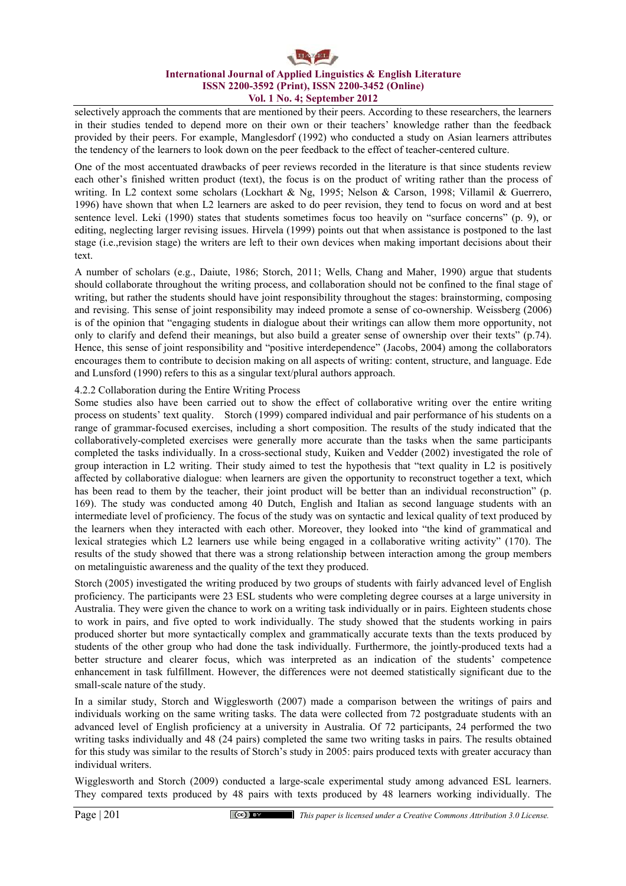selectively approach the comments that are mentioned by their peers. According to these researchers, the learners in their studies tended to depend more on their own or their teachers' knowledge rather than the feedback provided by their peers. For example, Manglesdorf (1992) who conducted a study on Asian learners attributes the tendency of the learners to look down on the peer feedback to the effect of teacher-centered culture.

One of the most accentuated drawbacks of peer reviews recorded in the literature is that since students review each other's finished written product (text), the focus is on the product of writing rather than the process of writing. In L2 context some scholars (Lockhart & Ng, 1995; Nelson & Carson, 1998; Villamil & Guerrero, 1996) have shown that when L2 learners are asked to do peer revision, they tend to focus on word and at best sentence level. Leki (1990) states that students sometimes focus too heavily on "surface concerns" (p. 9), or editing, neglecting larger revising issues. Hirvela (1999) points out that when assistance is postponed to the last stage (i.e.,revision stage) the writers are left to their own devices when making important decisions about their text.

A number of scholars (e.g., Daiute, 1986; Storch, 2011; Wells*,* Chang and Maher, 1990) argue that students should collaborate throughout the writing process, and collaboration should not be confined to the final stage of writing, but rather the students should have joint responsibility throughout the stages: brainstorming, composing and revising. This sense of joint responsibility may indeed promote a sense of co-ownership. Weissberg (2006) is of the opinion that "engaging students in dialogue about their writings can allow them more opportunity, not only to clarify and defend their meanings, but also build a greater sense of ownership over their texts" (p.74). Hence, this sense of joint responsibility and "positive interdependence" (Jacobs, 2004) among the collaborators encourages them to contribute to decision making on all aspects of writing: content, structure, and language. Ede and Lunsford (1990) refers to this as a singular text/plural authors approach.

#### 4.2.2 Collaboration during the Entire Writing Process

Some studies also have been carried out to show the effect of collaborative writing over the entire writing process on students' text quality. Storch (1999) compared individual and pair performance of his students on a range of grammar-focused exercises, including a short composition. The results of the study indicated that the collaboratively-completed exercises were generally more accurate than the tasks when the same participants completed the tasks individually. In a cross-sectional study, Kuiken and Vedder (2002) investigated the role of group interaction in L2 writing. Their study aimed to test the hypothesis that "text quality in L2 is positively affected by collaborative dialogue: when learners are given the opportunity to reconstruct together a text, which has been read to them by the teacher, their joint product will be better than an individual reconstruction" (p. 169). The study was conducted among 40 Dutch, English and Italian as second language students with an intermediate level of proficiency. The focus of the study was on syntactic and lexical quality of text produced by the learners when they interacted with each other. Moreover, they looked into "the kind of grammatical and lexical strategies which L2 learners use while being engaged in a collaborative writing activity" (170). The results of the study showed that there was a strong relationship between interaction among the group members on metalinguistic awareness and the quality of the text they produced.

Storch (2005) investigated the writing produced by two groups of students with fairly advanced level of English proficiency. The participants were 23 ESL students who were completing degree courses at a large university in Australia. They were given the chance to work on a writing task individually or in pairs. Eighteen students chose to work in pairs, and five opted to work individually. The study showed that the students working in pairs produced shorter but more syntactically complex and grammatically accurate texts than the texts produced by students of the other group who had done the task individually. Furthermore, the jointly-produced texts had a better structure and clearer focus, which was interpreted as an indication of the students' competence enhancement in task fulfillment. However, the differences were not deemed statistically significant due to the small-scale nature of the study.

In a similar study, Storch and Wigglesworth (2007) made a comparison between the writings of pairs and individuals working on the same writing tasks. The data were collected from 72 postgraduate students with an advanced level of English proficiency at a university in Australia. Of 72 participants, 24 performed the two writing tasks individually and 48 (24 pairs) completed the same two writing tasks in pairs. The results obtained for this study was similar to the results of Storch's study in 2005: pairs produced texts with greater accuracy than individual writers.

Wigglesworth and Storch (2009) conducted a large-scale experimental study among advanced ESL learners. They compared texts produced by 48 pairs with texts produced by 48 learners working individually. The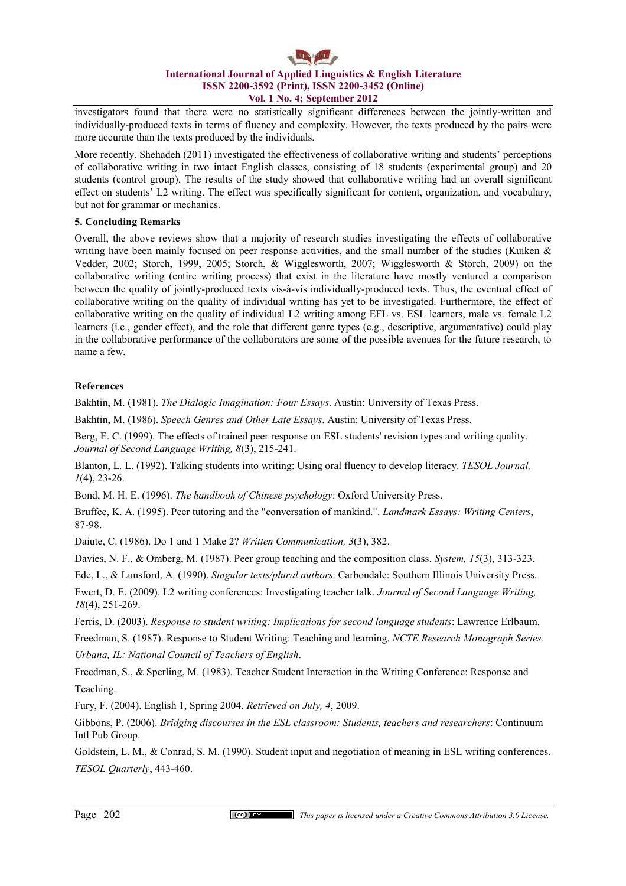# **International Journal of Applied Linguistics & English Literature ISSN 2200-3592 (Print), ISSN 2200-3452 (Online) Vol. 1 No. 4; September 2012**

investigators found that there were no statistically significant differences between the jointly-written and individually-produced texts in terms of fluency and complexity. However, the texts produced by the pairs were more accurate than the texts produced by the individuals.

More recently. Shehadeh (2011) investigated the effectiveness of collaborative writing and students' perceptions of collaborative writing in two intact English classes, consisting of 18 students (experimental group) and 20 students (control group). The results of the study showed that collaborative writing had an overall significant effect on students' L2 writing. The effect was specifically significant for content, organization, and vocabulary, but not for grammar or mechanics.

## **5. Concluding Remarks**

Overall, the above reviews show that a majority of research studies investigating the effects of collaborative writing have been mainly focused on peer response activities, and the small number of the studies (Kuiken & Vedder, 2002; Storch, 1999, 2005; Storch, & Wigglesworth, 2007; Wigglesworth & Storch, 2009) on the collaborative writing (entire writing process) that exist in the literature have mostly ventured a comparison between the quality of jointly-produced texts vis-à-vis individually-produced texts. Thus, the eventual effect of collaborative writing on the quality of individual writing has yet to be investigated. Furthermore, the effect of collaborative writing on the quality of individual L2 writing among EFL vs. ESL learners, male vs. female L2 learners (i.e., gender effect), and the role that different genre types (e.g., descriptive, argumentative) could play in the collaborative performance of the collaborators are some of the possible avenues for the future research, to name a few.

## **References**

Bakhtin, M. (1981). *The Dialogic Imagination: Four Essays*. Austin: University of Texas Press.

Bakhtin, M. (1986). *Speech Genres and Other Late Essays*. Austin: University of Texas Press.

Berg, E. C. (1999). The effects of trained peer response on ESL students' revision types and writing quality. *Journal of Second Language Writing, 8*(3), 215-241.

Blanton, L. L. (1992). Talking students into writing: Using oral fluency to develop literacy. *TESOL Journal, 1*(4), 23-26.

Bond, M. H. E. (1996). *The handbook of Chinese psychology*: Oxford University Press.

Bruffee, K. A. (1995). Peer tutoring and the "conversation of mankind.". *Landmark Essays: Writing Centers*, 87-98.

Daiute, C. (1986). Do 1 and 1 Make 2? *Written Communication, 3*(3), 382.

Davies, N. F., & Omberg, M. (1987). Peer group teaching and the composition class. *System, 15*(3), 313-323.

Ede, L., & Lunsford, A. (1990). *Singular texts/plural authors*. Carbondale: Southern Illinois University Press.

Ewert, D. E. (2009). L2 writing conferences: Investigating teacher talk. *Journal of Second Language Writing, 18*(4), 251-269.

Ferris, D. (2003). *Response to student writing: Implications for second language students*: Lawrence Erlbaum.

Freedman, S. (1987). Response to Student Writing: Teaching and learning. *NCTE Research Monograph Series.* 

*Urbana, IL: National Council of Teachers of English*.

Freedman, S., & Sperling, M. (1983). Teacher Student Interaction in the Writing Conference: Response and Teaching.

Fury, F. (2004). English 1, Spring 2004. *Retrieved on July, 4*, 2009.

Gibbons, P. (2006). *Bridging discourses in the ESL classroom: Students, teachers and researchers*: Continuum Intl Pub Group.

Goldstein, L. M., & Conrad, S. M. (1990). Student input and negotiation of meaning in ESL writing conferences. *TESOL Quarterly*, 443-460.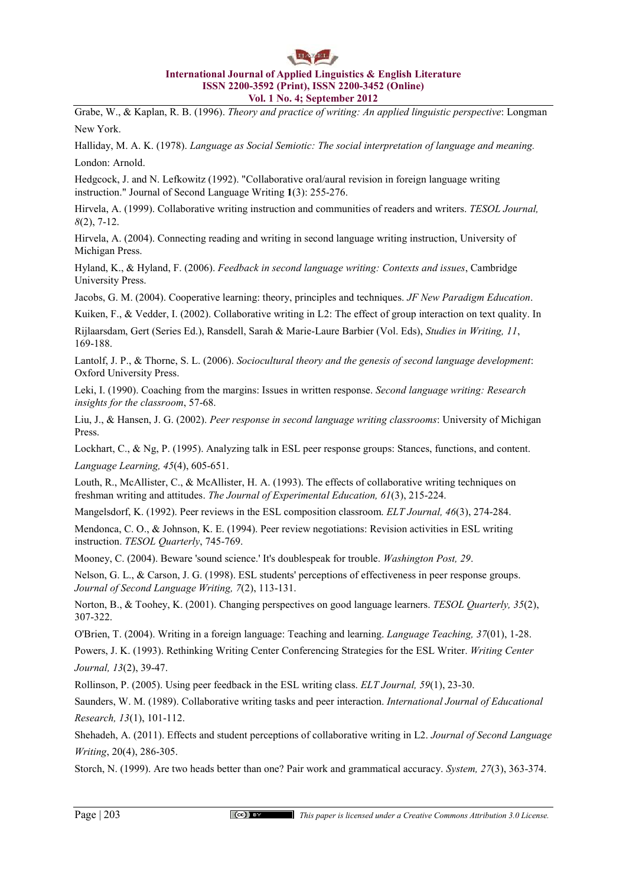Grabe, W., & Kaplan, R. B. (1996). *Theory and practice of writing: An applied linguistic perspective*: Longman New York.

Halliday, M. A. K. (1978). *Language as Social Semiotic: The social interpretation of language and meaning.* London: Arnold.

Hedgcock, J. and N. Lefkowitz (1992). "Collaborative oral/aural revision in foreign language writing instruction." Journal of Second Language Writing **1**(3): 255-276.

Hirvela, A. (1999). Collaborative writing instruction and communities of readers and writers. *TESOL Journal, 8*(2), 7-12.

Hirvela, A. (2004). Connecting reading and writing in second language writing instruction, University of Michigan Press.

Hyland, K., & Hyland, F. (2006). *Feedback in second language writing: Contexts and issues*, Cambridge University Press.

Jacobs, G. M. (2004). Cooperative learning: theory, principles and techniques. *JF New Paradigm Education*.

Kuiken, F., & Vedder, I. (2002). Collaborative writing in L2: The effect of group interaction on text quality. In

Rijlaarsdam, Gert (Series Ed.), Ransdell, Sarah & Marie-Laure Barbier (Vol. Eds), *Studies in Writing, 11*, 169-188.

Lantolf, J. P., & Thorne, S. L. (2006). *Sociocultural theory and the genesis of second language development*: Oxford University Press.

Leki, I. (1990). Coaching from the margins: Issues in written response. *Second language writing: Research insights for the classroom*, 57-68.

Liu, J., & Hansen, J. G. (2002). *Peer response in second language writing classrooms*: University of Michigan Press.

Lockhart, C., & Ng, P. (1995). Analyzing talk in ESL peer response groups: Stances, functions, and content.

*Language Learning, 45*(4), 605-651.

Louth, R., McAllister, C., & McAllister, H. A. (1993). The effects of collaborative writing techniques on freshman writing and attitudes. *The Journal of Experimental Education, 61*(3), 215-224.

Mangelsdorf, K. (1992). Peer reviews in the ESL composition classroom. *ELT Journal, 46*(3), 274-284.

Mendonca, C. O., & Johnson, K. E. (1994). Peer review negotiations: Revision activities in ESL writing instruction. *TESOL Quarterly*, 745-769.

Mooney, C. (2004). Beware 'sound science.' It's doublespeak for trouble. *Washington Post, 29*.

Nelson, G. L., & Carson, J. G. (1998). ESL students' perceptions of effectiveness in peer response groups. *Journal of Second Language Writing, 7*(2), 113-131.

Norton, B., & Toohey, K. (2001). Changing perspectives on good language learners. *TESOL Quarterly, 35*(2), 307-322.

O'Brien, T. (2004). Writing in a foreign language: Teaching and learning. *Language Teaching, 37*(01), 1-28.

Powers, J. K. (1993). Rethinking Writing Center Conferencing Strategies for the ESL Writer. *Writing Center Journal, 13*(2), 39-47.

Rollinson, P. (2005). Using peer feedback in the ESL writing class. *ELT Journal, 59*(1), 23-30.

Saunders, W. M. (1989). Collaborative writing tasks and peer interaction. *International Journal of Educational Research, 13*(1), 101-112.

Shehadeh, A. (2011). Effects and student perceptions of collaborative writing in L2. *Journal of Second Language Writing*, 20(4), 286-305.

Storch, N. (1999). Are two heads better than one? Pair work and grammatical accuracy. *System, 27*(3), 363-374.